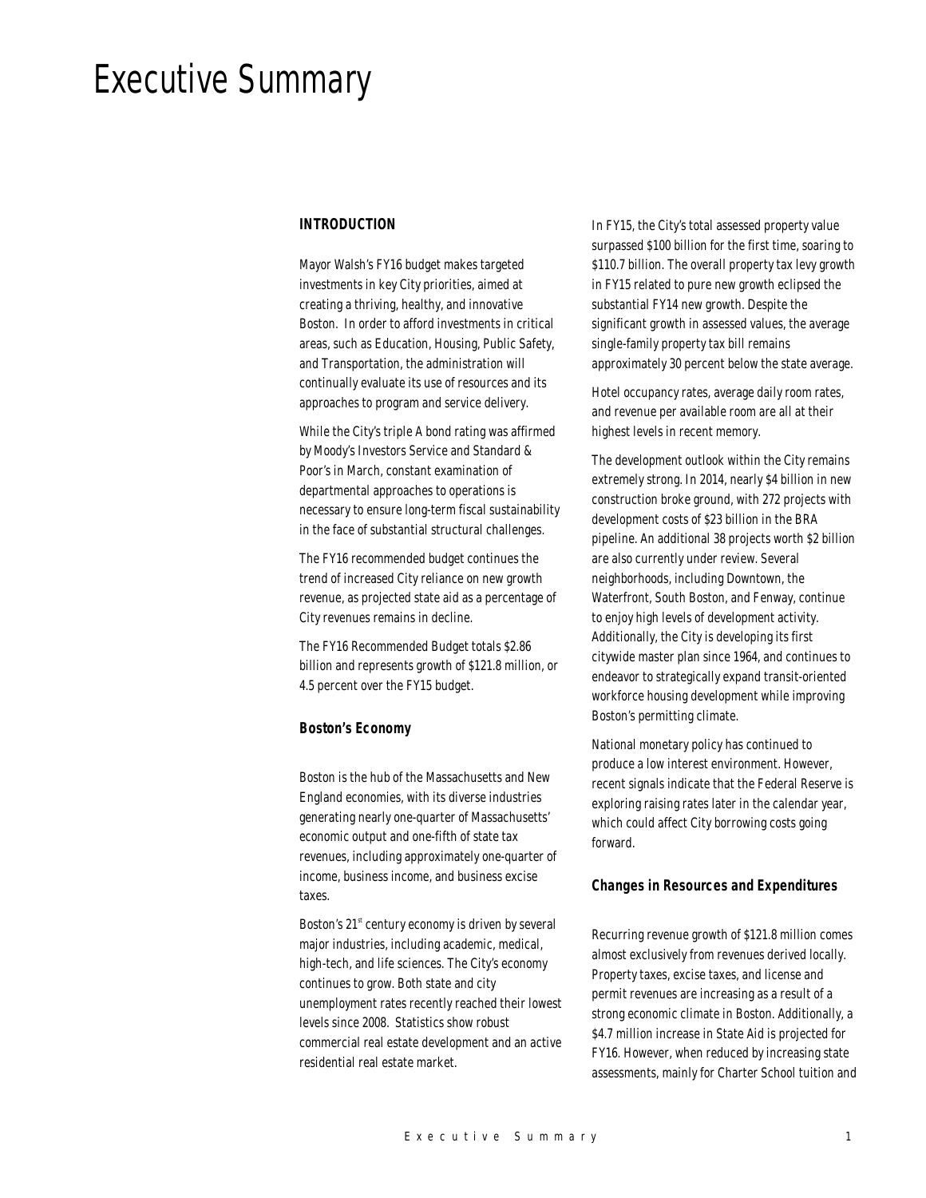# Executive Summary

# *INTRODUCTION*

Mayor Walsh's FY16 budget makes targeted investments in key City priorities, aimed at creating a thriving, healthy, and innovative Boston. In order to afford investments in critical areas, such as Education, Housing, Public Safety, and Transportation, the administration will continually evaluate its use of resources and its approaches to program and service delivery.

While the City's triple A bond rating was affirmed by Moody's Investors Service and Standard & Poor's in March, constant examination of departmental approaches to operations is necessary to ensure long-term fiscal sustainability in the face of substantial structural challenges.

The FY16 recommended budget continues the trend of increased City reliance on new growth revenue, as projected state aid as a percentage of City revenues remains in decline.

The FY16 Recommended Budget totals \$2.86 billion and represents growth of \$121.8 million, or 4.5 percent over the FY15 budget.

#### *Boston's Economy*

Boston is the hub of the Massachusetts and New England economies, with its diverse industries generating nearly one-quarter of Massachusetts' economic output and one-fifth of state tax revenues, including approximately one-quarter of income, business income, and business excise taxes.

Boston's  $21<sup>st</sup>$  century economy is driven by several major industries, including academic, medical, high-tech, and life sciences. The City's economy continues to grow. Both state and city unemployment rates recently reached their lowest levels since 2008. Statistics show robust commercial real estate development and an active residential real estate market.

In FY15, the City's total assessed property value surpassed \$100 billion for the first time, soaring to \$110.7 billion. The overall property tax levy growth in FY15 related to pure new growth eclipsed the substantial FY14 new growth. Despite the significant growth in assessed values, the average single-family property tax bill remains approximately 30 percent below the state average.

Hotel occupancy rates, average daily room rates, and revenue per available room are all at their highest levels in recent memory.

The development outlook within the City remains extremely strong. In 2014, nearly \$4 billion in new construction broke ground, with 272 projects with development costs of \$23 billion in the BRA pipeline. An additional 38 projects worth \$2 billion are also currently under review. Several neighborhoods, including Downtown, the Waterfront, South Boston, and Fenway, continue to enjoy high levels of development activity. Additionally, the City is developing its first citywide master plan since 1964, and continues to endeavor to strategically expand transit-oriented workforce housing development while improving Boston's permitting climate.

National monetary policy has continued to produce a low interest environment. However, recent signals indicate that the Federal Reserve is exploring raising rates later in the calendar year, which could affect City borrowing costs going forward.

#### *Changes in Resources and Expenditures*

Recurring revenue growth of \$121.8 million comes almost exclusively from revenues derived locally. Property taxes, excise taxes, and license and permit revenues are increasing as a result of a strong economic climate in Boston. Additionally, a \$4.7 million increase in State Aid is projected for FY16. However, when reduced by increasing state assessments, mainly for Charter School tuition and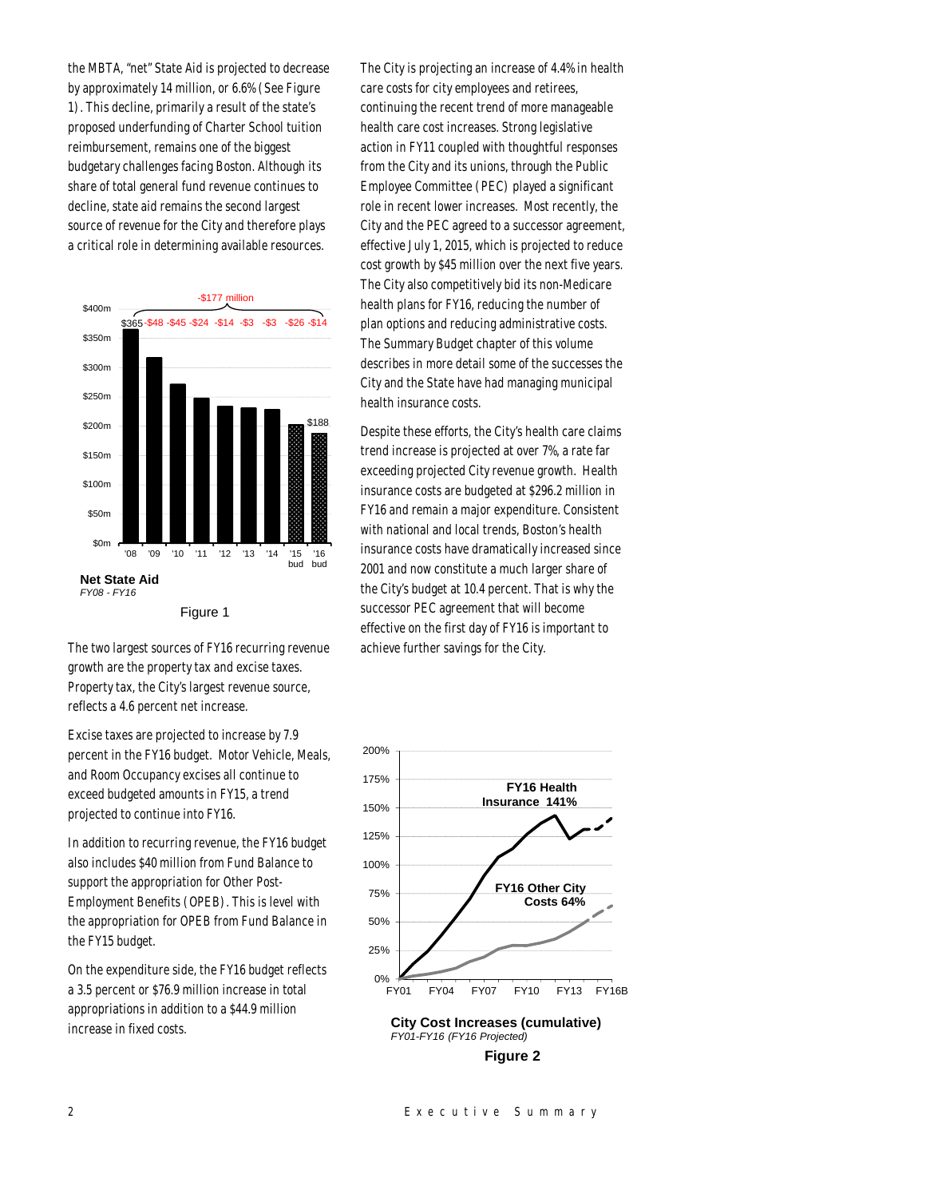the MBTA, "net" State Aid is projected to decrease by approximately 14 million, or 6.6% (See Figure 1). This decline, primarily a result of the state's proposed underfunding of Charter School tuition reimbursement, remains one of the biggest budgetary challenges facing Boston. Although its share of total general fund revenue continues to decline, state aid remains the second largest source of revenue for the City and therefore plays a critical role in determining available resources.



Figure 1

The two largest sources of FY16 recurring revenue growth are the property tax and excise taxes. Property tax, the City's largest revenue source, reflects a 4.6 percent net increase.

Excise taxes are projected to increase by 7.9 percent in the FY16 budget. Motor Vehicle, Meals, and Room Occupancy excises all continue to exceed budgeted amounts in FY15, a trend projected to continue into FY16.

In addition to recurring revenue, the FY16 budget also includes \$40 million from Fund Balance to support the appropriation for Other Post-Employment Benefits (OPEB). This is level with the appropriation for OPEB from Fund Balance in the FY15 budget.

On the expenditure side, the FY16 budget reflects a 3.5 percent or \$76.9 million increase in total appropriations in addition to a \$44.9 million increase in fixed costs.

The City is projecting an increase of 4.4% in health care costs for city employees and retirees, continuing the recent trend of more manageable health care cost increases. Strong legislative action in FY11 coupled with thoughtful responses from the City and its unions, through the Public Employee Committee (PEC) played a significant role in recent lower increases. Most recently, the City and the PEC agreed to a successor agreement, effective July 1, 2015, which is projected to reduce cost growth by \$45 million over the next five years. The City also competitively bid its non-Medicare health plans for FY16, reducing the number of plan options and reducing administrative costs. The Summary Budget chapter of this volume describes in more detail some of the successes the City and the State have had managing municipal health insurance costs.

Despite these efforts, the City's health care claims trend increase is projected at over 7%, a rate far exceeding projected City revenue growth. Health insurance costs are budgeted at \$296.2 million in FY16 and remain a major expenditure. Consistent with national and local trends, Boston's health insurance costs have dramatically increased since 2001 and now constitute a much larger share of the City's budget at 10.4 percent. That is why the successor PEC agreement that will become effective on the first day of FY16 is important to achieve further savings for the City.

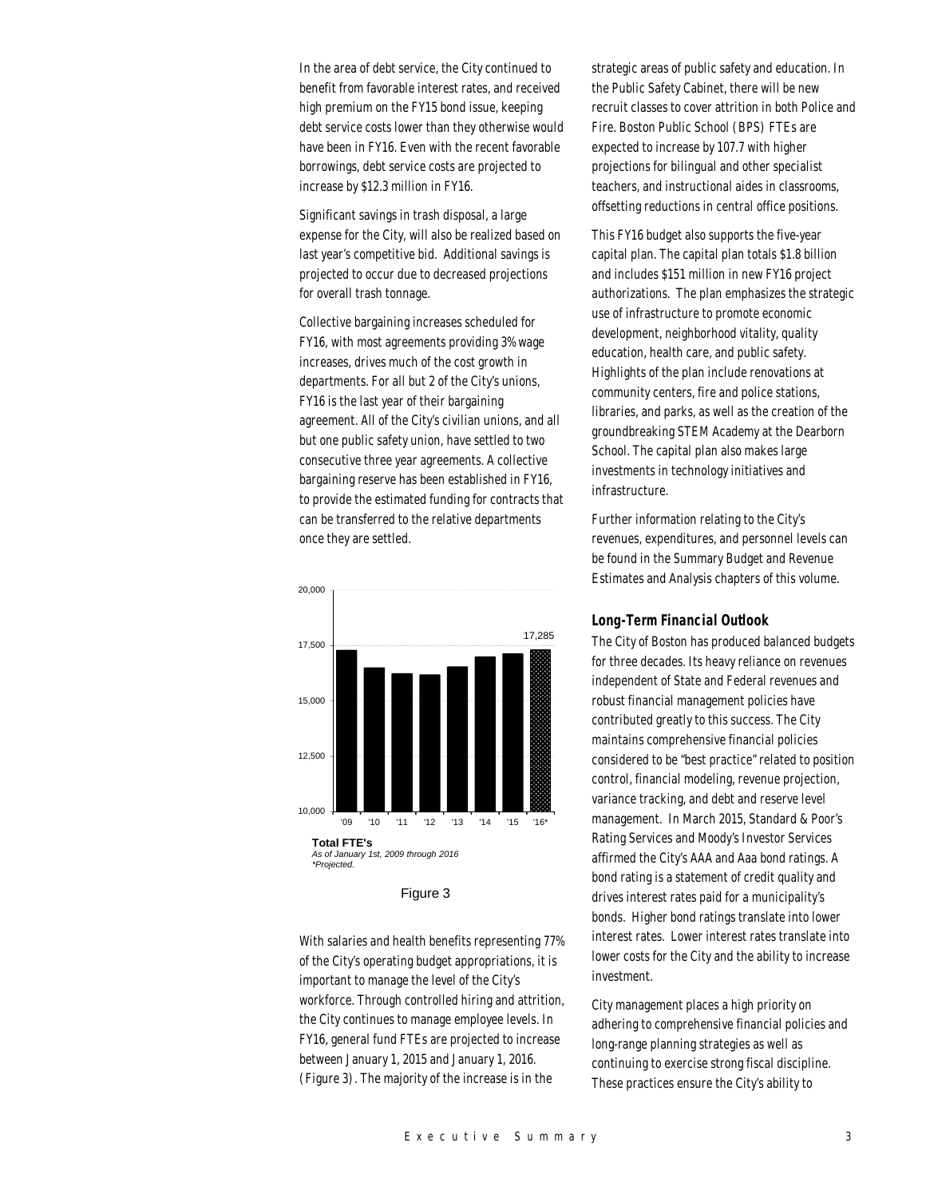In the area of debt service, the City continued to benefit from favorable interest rates, and received high premium on the FY15 bond issue, keeping debt service costs lower than they otherwise would have been in FY16. Even with the recent favorable borrowings, debt service costs are projected to increase by \$12.3 million in FY16.

Significant savings in trash disposal, a large expense for the City, will also be realized based on last year's competitive bid. Additional savings is projected to occur due to decreased projections for overall trash tonnage.

Collective bargaining increases scheduled for FY16, with most agreements providing 3% wage increases, drives much of the cost growth in departments. For all but 2 of the City's unions, FY16 is the last year of their bargaining agreement. All of the City's civilian unions, and all but one public safety union, have settled to two consecutive three year agreements. A collective bargaining reserve has been established in FY16, to provide the estimated funding for contracts that can be transferred to the relative departments once they are settled.



Figure 3

With salaries and health benefits representing 77% of the City's operating budget appropriations, it is important to manage the level of the City's workforce. Through controlled hiring and attrition, the City continues to manage employee levels. In FY16, general fund FTEs are projected to increase between January 1, 2015 and January 1, 2016. (Figure 3). The majority of the increase is in the

strategic areas of public safety and education. In the Public Safety Cabinet, there will be new recruit classes to cover attrition in both Police and Fire. Boston Public School (BPS) FTEs are expected to increase by 107.7 with higher projections for bilingual and other specialist teachers, and instructional aides in classrooms, offsetting reductions in central office positions.

This FY16 budget also supports the five-year capital plan. The capital plan totals \$1.8 billion and includes \$151 million in new FY16 project authorizations. The plan emphasizes the strategic use of infrastructure to promote economic development, neighborhood vitality, quality education, health care, and public safety. Highlights of the plan include renovations at community centers, fire and police stations, libraries, and parks, as well as the creation of the groundbreaking STEM Academy at the Dearborn School. The capital plan also makes large investments in technology initiatives and infrastructure.

Further information relating to the City's revenues, expenditures, and personnel levels can be found in the Summary Budget and Revenue Estimates and Analysis chapters of this volume.

## *Long-Term Financial Outlook*

The City of Boston has produced balanced budgets for three decades. Its heavy reliance on revenues independent of State and Federal revenues and robust financial management policies have contributed greatly to this success. The City maintains comprehensive financial policies considered to be "best practice" related to position control, financial modeling, revenue projection, variance tracking, and debt and reserve level management. In March 2015, Standard & Poor's Rating Services and Moody's Investor Services affirmed the City's AAA and Aaa bond ratings. A bond rating is a statement of credit quality and drives interest rates paid for a municipality's bonds. Higher bond ratings translate into lower interest rates. Lower interest rates translate into lower costs for the City and the ability to increase investment.

City management places a high priority on adhering to comprehensive financial policies and long-range planning strategies as well as continuing to exercise strong fiscal discipline. These practices ensure the City's ability to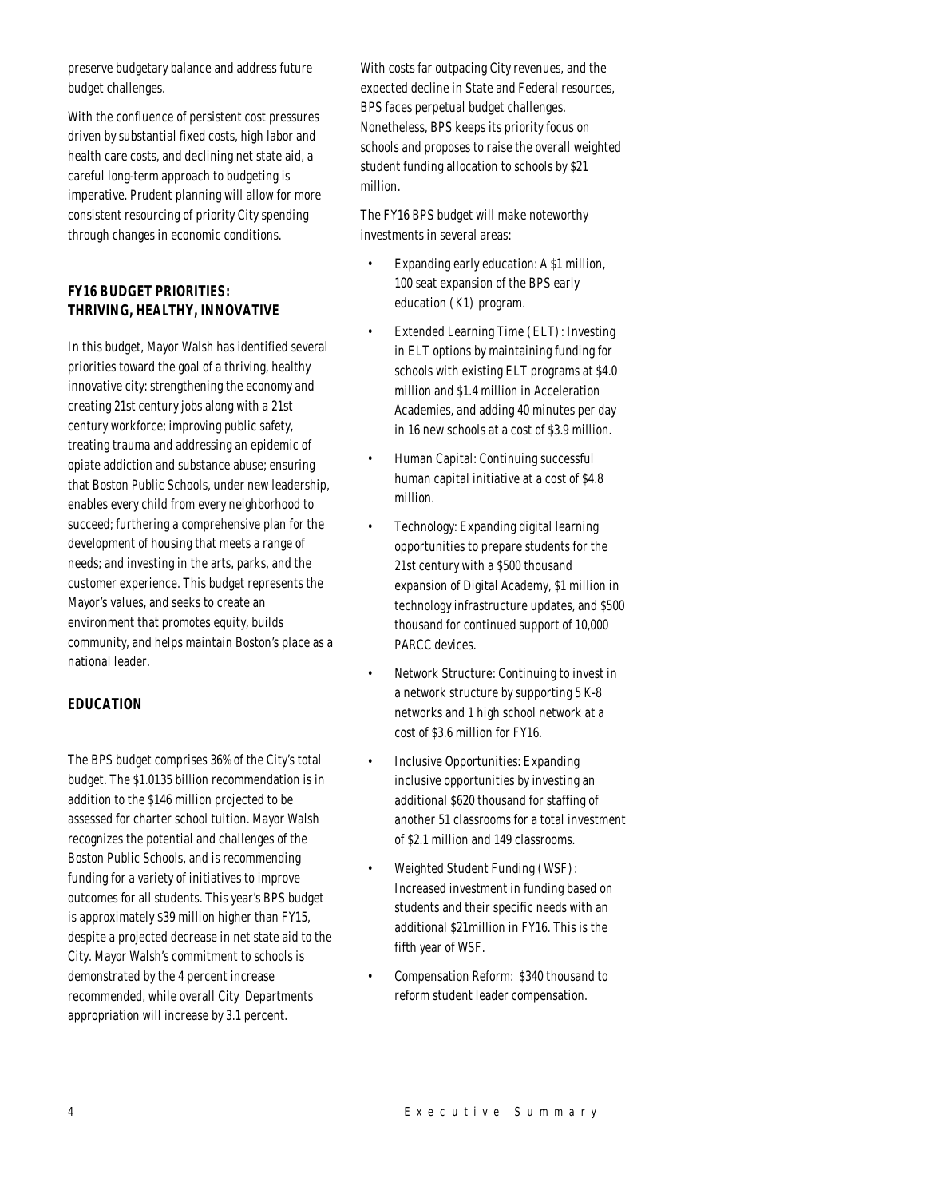preserve budgetary balance and address future budget challenges.

With the confluence of persistent cost pressures driven by substantial fixed costs, high labor and health care costs, and declining net state aid, a careful long-term approach to budgeting is imperative. Prudent planning will allow for more consistent resourcing of priority City spending through changes in economic conditions.

# *FY16 BUDGET PRIORITIES: THRIVING, HEALTHY, INNOVATIVE*

In this budget, Mayor Walsh has identified several priorities toward the goal of a thriving, healthy innovative city: strengthening the economy and creating 21st century jobs along with a 21st century workforce; improving public safety, treating trauma and addressing an epidemic of opiate addiction and substance abuse; ensuring that Boston Public Schools, under new leadership, enables every child from every neighborhood to succeed; furthering a comprehensive plan for the development of housing that meets a range of needs; and investing in the arts, parks, and the customer experience. This budget represents the Mayor's values, and seeks to create an environment that promotes equity, builds community, and helps maintain Boston's place as a national leader.

# *EDUCATION*

The BPS budget comprises 36% of the City's total budget. The \$1.0135 billion recommendation is in addition to the \$146 million projected to be assessed for charter school tuition. Mayor Walsh recognizes the potential and challenges of the Boston Public Schools, and is recommending funding for a variety of initiatives to improve outcomes for all students. This year's BPS budget is approximately \$39 million higher than FY15, despite a projected decrease in net state aid to the City. Mayor Walsh's commitment to schools is demonstrated by the 4 percent increase recommended, while overall City Departments appropriation will increase by 3.1 percent.

With costs far outpacing City revenues, and the expected decline in State and Federal resources, BPS faces perpetual budget challenges. Nonetheless, BPS keeps its priority focus on schools and proposes to raise the overall weighted student funding allocation to schools by \$21 million.

The FY16 BPS budget will make noteworthy investments in several areas:

- Expanding early education: A \$1 million, 100 seat expansion of the BPS early education (K1) program.
- Extended Learning Time (ELT): Investing in ELT options by maintaining funding for schools with existing ELT programs at \$4.0 million and \$1.4 million in Acceleration Academies, and adding 40 minutes per day in 16 new schools at a cost of \$3.9 million.
- Human Capital: Continuing successful human capital initiative at a cost of \$4.8 million.
- Technology: Expanding digital learning opportunities to prepare students for the 21st century with a \$500 thousand expansion of Digital Academy, \$1 million in technology infrastructure updates, and \$500 thousand for continued support of 10,000 PARCC devices.
- Network Structure: Continuing to invest in a network structure by supporting 5 K-8 networks and 1 high school network at a cost of \$3.6 million for FY16.
- Inclusive Opportunities: Expanding inclusive opportunities by investing an additional \$620 thousand for staffing of another 51 classrooms for a total investment of \$2.1 million and 149 classrooms.
- Weighted Student Funding (WSF): Increased investment in funding based on students and their specific needs with an additional \$21million in FY16. This is the fifth year of WSF.
- Compensation Reform: \$340 thousand to reform student leader compensation.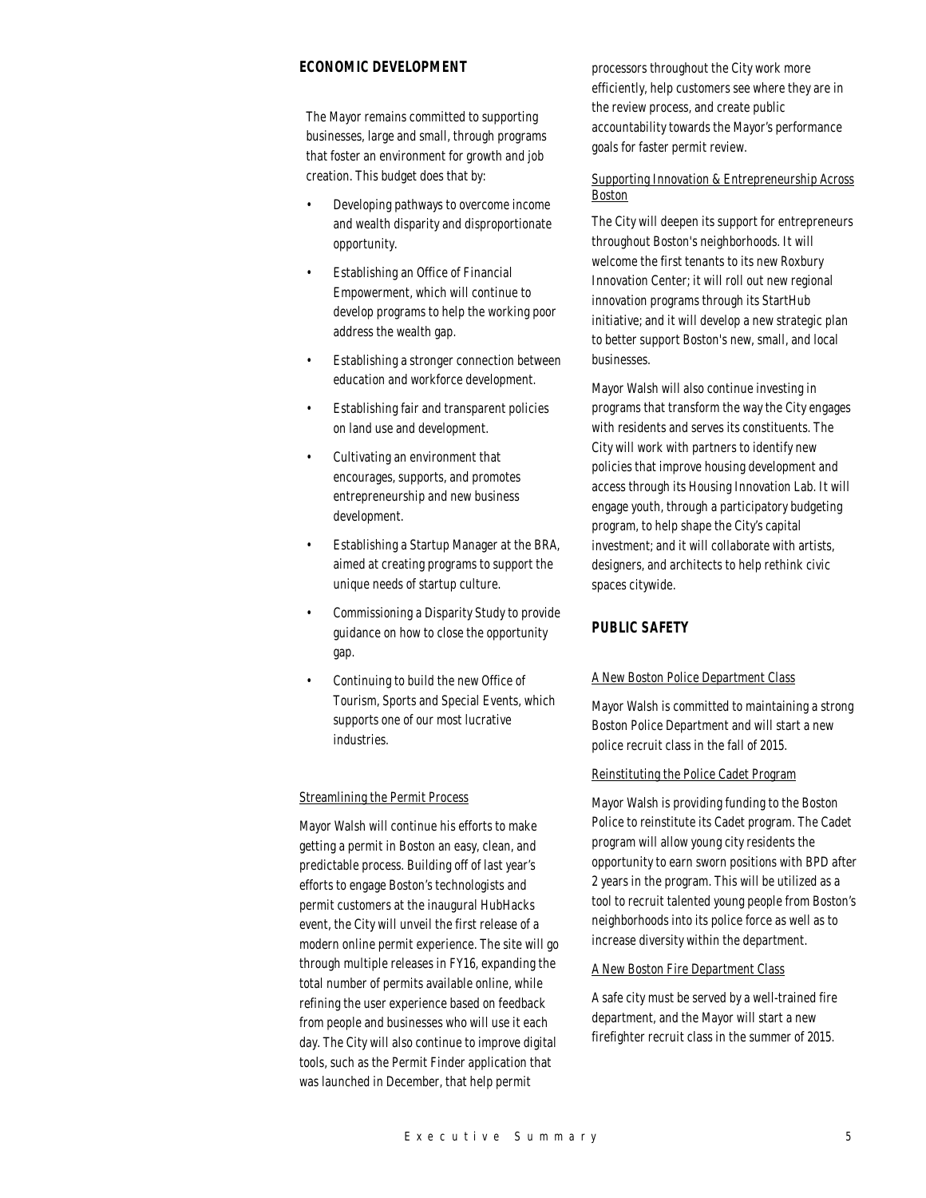# *ECONOMIC DEVELOPMENT*

The Mayor remains committed to supporting businesses, large and small, through programs that foster an environment for growth and job creation. This budget does that by:

- Developing pathways to overcome income and wealth disparity and disproportionate opportunity.
- Establishing an Office of Financial Empowerment, which will continue to develop programs to help the working poor address the wealth gap.
- Establishing a stronger connection between education and workforce development.
- Establishing fair and transparent policies on land use and development.
- Cultivating an environment that encourages, supports, and promotes entrepreneurship and new business development.
- Establishing a Startup Manager at the BRA, aimed at creating programs to support the unique needs of startup culture.
- Commissioning a Disparity Study to provide guidance on how to close the opportunity gap.
- Continuing to build the new Office of Tourism, Sports and Special Events, which supports one of our most lucrative industries.

#### Streamlining the Permit Process

Mayor Walsh will continue his efforts to make getting a permit in Boston an easy, clean, and predictable process. Building off of last year's efforts to engage Boston's technologists and permit customers at the inaugural HubHacks event, the City will unveil the first release of a modern online permit experience. The site will go through multiple releases in FY16, expanding the total number of permits available online, while refining the user experience based on feedback from people and businesses who will use it each day. The City will also continue to improve digital tools, such as the Permit Finder application that was launched in December, that help permit

processors throughout the City work more efficiently, help customers see where they are in the review process, and create public accountability towards the Mayor's performance goals for faster permit review.

# Supporting Innovation & Entrepreneurship Across Boston

The City will deepen its support for entrepreneurs throughout Boston's neighborhoods. It will welcome the first tenants to its new Roxbury Innovation Center; it will roll out new regional innovation programs through its StartHub initiative; and it will develop a new strategic plan to better support Boston's new, small, and local businesses.

Mayor Walsh will also continue investing in programs that transform the way the City engages with residents and serves its constituents. The City will work with partners to identify new policies that improve housing development and access through its Housing Innovation Lab. It will engage youth, through a participatory budgeting program, to help shape the City's capital investment; and it will collaborate with artists, designers, and architects to help rethink civic spaces citywide.

# *PUBLIC SAFETY*

#### A New Boston Police Department Class

Mayor Walsh is committed to maintaining a strong Boston Police Department and will start a new police recruit class in the fall of 2015.

## Reinstituting the Police Cadet Program

Mayor Walsh is providing funding to the Boston Police to reinstitute its Cadet program. The Cadet program will allow young city residents the opportunity to earn sworn positions with BPD after 2 years in the program. This will be utilized as a tool to recruit talented young people from Boston's neighborhoods into its police force as well as to increase diversity within the department.

#### A New Boston Fire Department Class

A safe city must be served by a well-trained fire department, and the Mayor will start a new firefighter recruit class in the summer of 2015.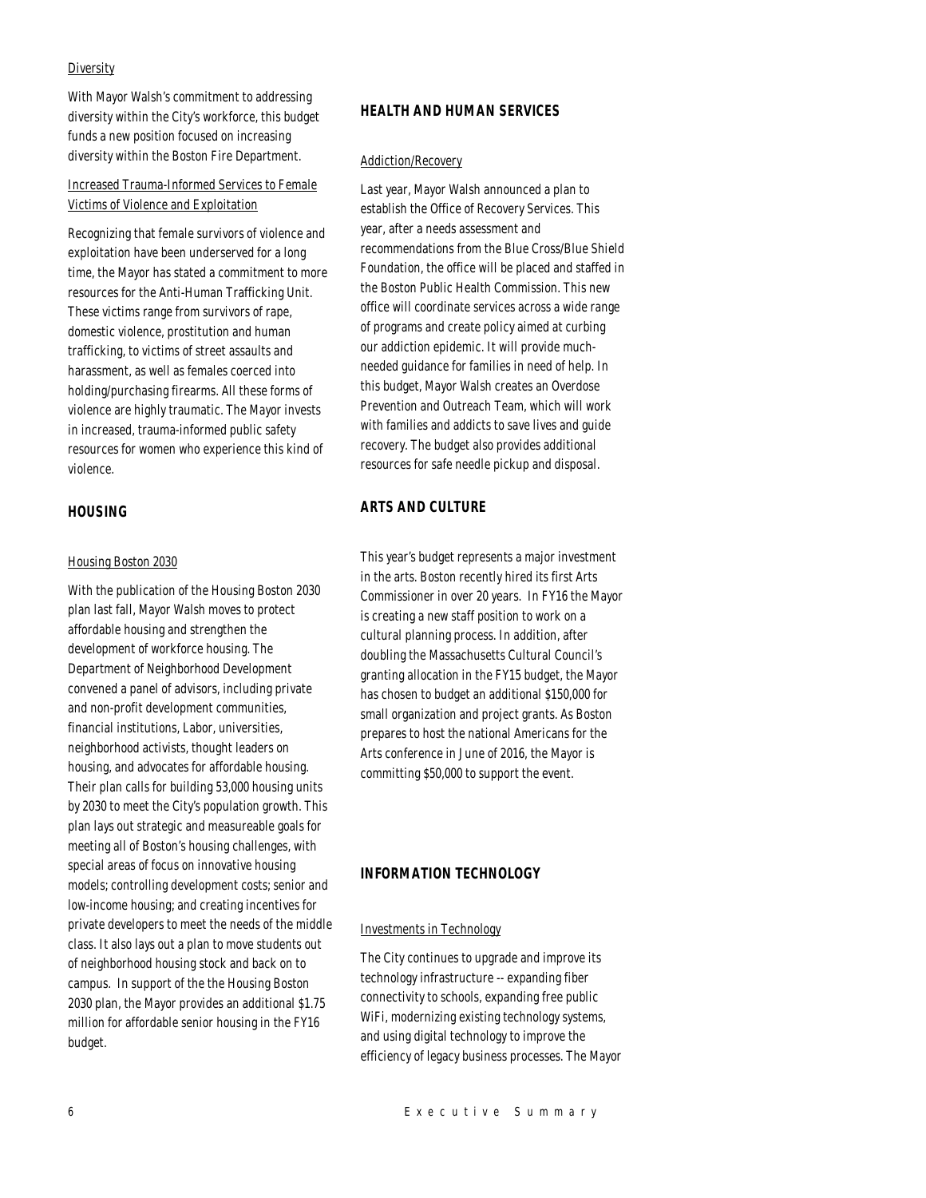#### **Diversity**

With Mayor Walsh's commitment to addressing diversity within the City's workforce, this budget funds a new position focused on increasing diversity within the Boston Fire Department.

# Increased Trauma-Informed Services to Female Victims of Violence and Exploitation

Recognizing that female survivors of violence and exploitation have been underserved for a long time, the Mayor has stated a commitment to more resources for the Anti-Human Trafficking Unit. These victims range from survivors of rape, domestic violence, prostitution and human trafficking, to victims of street assaults and harassment, as well as females coerced into holding/purchasing firearms. All these forms of violence are highly traumatic. The Mayor invests in increased, trauma-informed public safety resources for women who experience this kind of violence.

# *HOUSING*

#### Housing Boston 2030

With the publication of the Housing Boston 2030 plan last fall, Mayor Walsh moves to protect affordable housing and strengthen the development of workforce housing. The Department of Neighborhood Development convened a panel of advisors, including private and non-profit development communities, financial institutions, Labor, universities, neighborhood activists, thought leaders on housing, and advocates for affordable housing. Their plan calls for building 53,000 housing units by 2030 to meet the City's population growth. This plan lays out strategic and measureable goals for meeting all of Boston's housing challenges, with special areas of focus on innovative housing models; controlling development costs; senior and low-income housing; and creating incentives for private developers to meet the needs of the middle class. It also lays out a plan to move students out of neighborhood housing stock and back on to campus. In support of the the Housing Boston 2030 plan, the Mayor provides an additional \$1.75 million for affordable senior housing in the FY16 budget.

## *HEALTH AND HUMAN SERVICES*

#### Addiction/Recovery

Last year, Mayor Walsh announced a plan to establish the Office of Recovery Services. This year, after a needs assessment and recommendations from the Blue Cross/Blue Shield Foundation, the office will be placed and staffed in the Boston Public Health Commission. This new office will coordinate services across a wide range of programs and create policy aimed at curbing our addiction epidemic. It will provide muchneeded guidance for families in need of help. In this budget, Mayor Walsh creates an Overdose Prevention and Outreach Team, which will work with families and addicts to save lives and guide recovery. The budget also provides additional resources for safe needle pickup and disposal.

# *ARTS AND CULTURE*

This year's budget represents a major investment in the arts. Boston recently hired its first Arts Commissioner in over 20 years. In FY16 the Mayor is creating a new staff position to work on a cultural planning process. In addition, after doubling the Massachusetts Cultural Council's granting allocation in the FY15 budget, the Mayor has chosen to budget an additional \$150,000 for small organization and project grants. As Boston prepares to host the national Americans for the Arts conference in June of 2016, the Mayor is committing \$50,000 to support the event.

## *INFORMATION TECHNOLOGY*

#### Investments in Technology

The City continues to upgrade and improve its technology infrastructure -- expanding fiber connectivity to schools, expanding free public WiFi, modernizing existing technology systems, and using digital technology to improve the efficiency of legacy business processes. The Mayor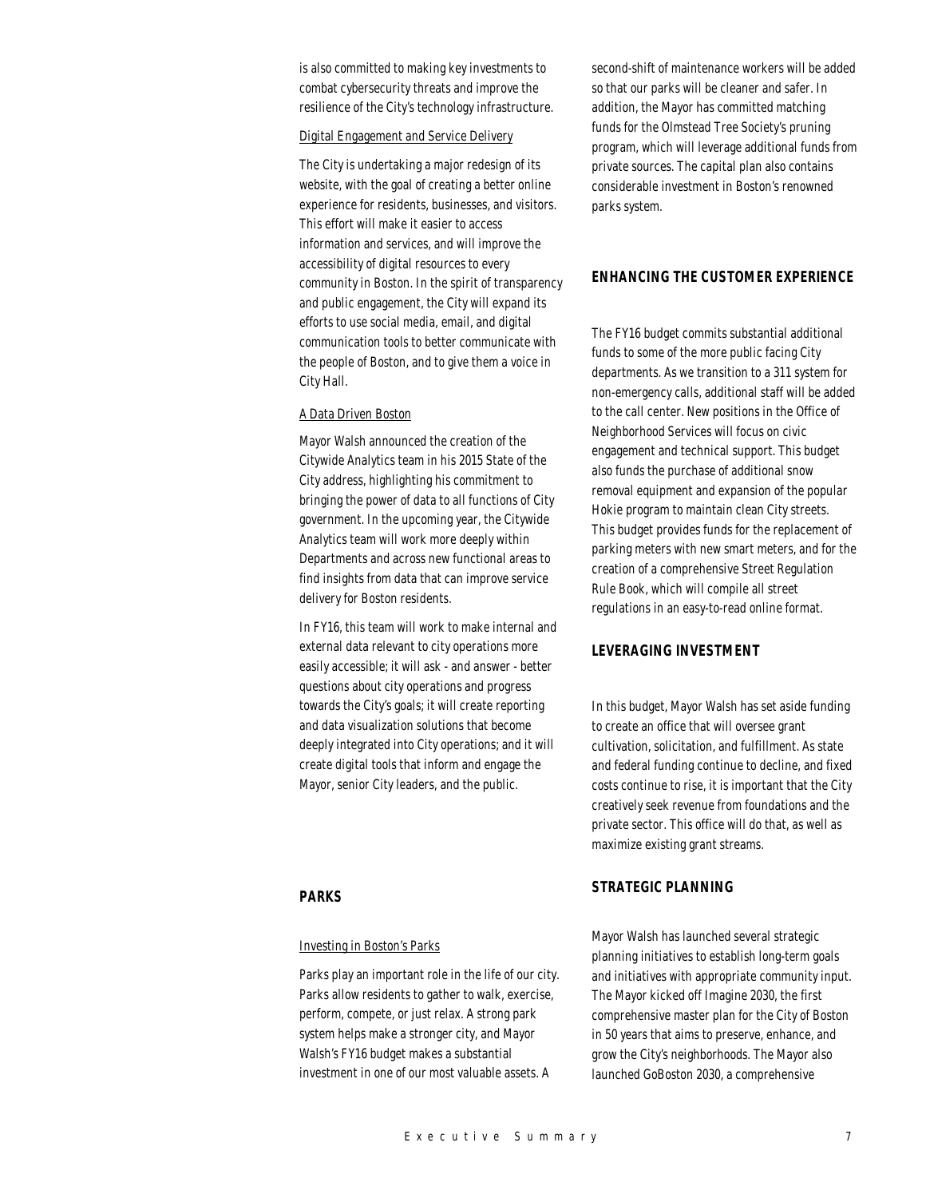is also committed to making key investments to combat cybersecurity threats and improve the resilience of the City's technology infrastructure.

# Digital Engagement and Service Delivery

The City is undertaking a major redesign of its website, with the goal of creating a better online experience for residents, businesses, and visitors. This effort will make it easier to access information and services, and will improve the accessibility of digital resources to every community in Boston. In the spirit of transparency and public engagement, the City will expand its efforts to use social media, email, and digital communication tools to better communicate with the people of Boston, and to give them a voice in City Hall.

## A Data Driven Boston

Mayor Walsh announced the creation of the Citywide Analytics team in his 2015 State of the City address, highlighting his commitment to bringing the power of data to all functions of City government. In the upcoming year, the Citywide Analytics team will work more deeply within Departments and across new functional areas to find insights from data that can improve service delivery for Boston residents.

In FY16, this team will work to make internal and external data relevant to city operations more easily accessible; it will ask - and answer - better questions about city operations and progress towards the City's goals; it will create reporting and data visualization solutions that become deeply integrated into City operations; and it will create digital tools that inform and engage the Mayor, senior City leaders, and the public.

# *PARKS*

## Investing in Boston's Parks

Parks play an important role in the life of our city. Parks allow residents to gather to walk, exercise, perform, compete, or just relax. A strong park system helps make a stronger city, and Mayor Walsh's FY16 budget makes a substantial investment in one of our most valuable assets. A

second-shift of maintenance workers will be added so that our parks will be cleaner and safer. In addition, the Mayor has committed matching funds for the Olmstead Tree Society's pruning program, which will leverage additional funds from private sources. The capital plan also contains considerable investment in Boston's renowned parks system.

# *ENHANCING THE CUSTOMER EXPERIENCE*

The FY16 budget commits substantial additional funds to some of the more public facing City departments. As we transition to a 311 system for non-emergency calls, additional staff will be added to the call center. New positions in the Office of Neighborhood Services will focus on civic engagement and technical support. This budget also funds the purchase of additional snow removal equipment and expansion of the popular Hokie program to maintain clean City streets. This budget provides funds for the replacement of parking meters with new smart meters, and for the creation of a comprehensive Street Regulation Rule Book, which will compile all street regulations in an easy-to-read online format.

## *LEVERAGING INVESTMENT*

In this budget, Mayor Walsh has set aside funding to create an office that will oversee grant cultivation, solicitation, and fulfillment. As state and federal funding continue to decline, and fixed costs continue to rise, it is important that the City creatively seek revenue from foundations and the private sector. This office will do that, as well as maximize existing grant streams.

## *STRATEGIC PLANNING*

Mayor Walsh has launched several strategic planning initiatives to establish long-term goals and initiatives with appropriate community input. The Mayor kicked off Imagine 2030, the first comprehensive master plan for the City of Boston in 50 years that aims to preserve, enhance, and grow the City's neighborhoods. The Mayor also launched GoBoston 2030, a comprehensive